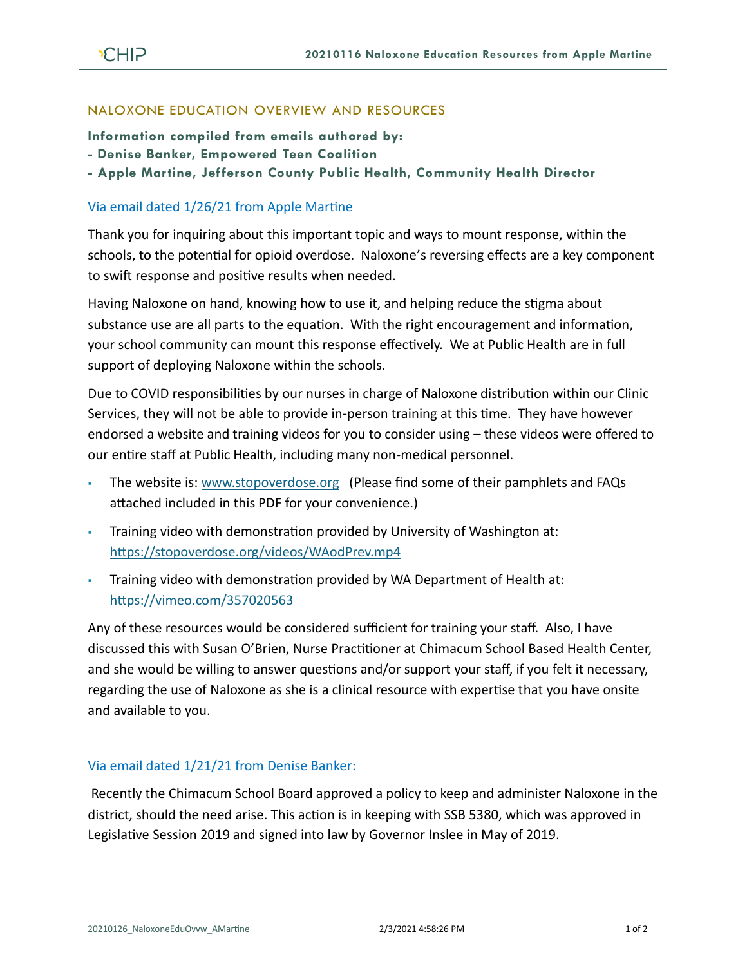## NALOXONE EDUCATION OVERVIEW AND RESOURCES

**Information compiled from emails authored by:**

- **- Denise Banker, Empowered Teen Coalition**
- **- Apple Martine, Jefferson County Public Health, Community Health Director**

## Via email dated 1/26/21 from Apple Martine

Thank you for inquiring about this important topic and ways to mount response, within the schools, to the potential for opioid overdose. Naloxone's reversing effects are a key component to swift response and positive results when needed.

Having Naloxone on hand, knowing how to use it, and helping reduce the stigma about substance use are all parts to the equation. With the right encouragement and information, your school community can mount this response effectively. We at Public Health are in full support of deploying Naloxone within the schools.

Due to COVID responsibilities by our nurses in charge of Naloxone distribution within our Clinic Services, they will not be able to provide in-person training at this time. They have however endorsed a website and training videos for you to consider using – these videos were offered to our entire staff at Public Health, including many non-medical personnel.

- The website is: [www.stopoverdose.org](http://www.stopoverdose.org/) (Please find some of their pamphlets and FAQs attached included in this PDF for your convenience.)
- Training video with demonstration provided by University of Washington at: <https://stopoverdose.org/videos/WAodPrev.mp4>
- Training video with demonstration provided by WA Department of Health at: <https://vimeo.com/357020563>

Any of these resources would be considered sufficient for training your staff. Also, I have discussed this with Susan O'Brien, Nurse Practitioner at Chimacum School Based Health Center, and she would be willing to answer questions and/or support your staff, if you felt it necessary, regarding the use of Naloxone as she is a clinical resource with expertise that you have onsite and available to you.

## Via email dated 1/21/21 from Denise Banker:

Recently the Chimacum School Board approved a policy to keep and administer Naloxone in the district, should the need arise. This action is in keeping with SSB 5380, which was approved in Legislative Session 2019 and signed into law by Governor Inslee in May of 2019.